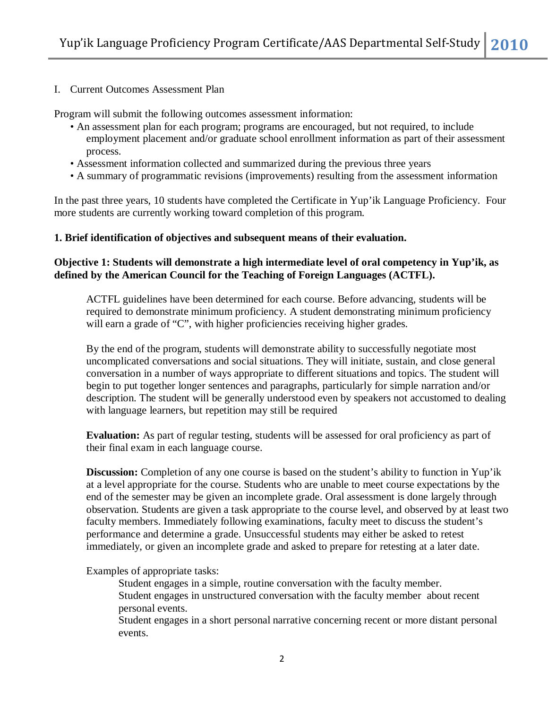I. Current Outcomes Assessment Plan

Program will submit the following outcomes assessment information:

- An assessment plan for each program; programs are encouraged, but not required, to include employment placement and/or graduate school enrollment information as part of their assessment process.
- Assessment information collected and summarized during the previous three years
- A summary of programmatic revisions (improvements) resulting from the assessment information

In the past three years, 10 students have completed the Certificate in Yup'ik Language Proficiency. Four more students are currently working toward completion of this program.

#### **1. Brief identification of objectives and subsequent means of their evaluation.**

### **Objective 1: Students will demonstrate a high intermediate level of oral competency in Yup'ik, as defined by the American Council for the Teaching of Foreign Languages (ACTFL).**

ACTFL guidelines have been determined for each course. Before advancing, students will be required to demonstrate minimum proficiency. A student demonstrating minimum proficiency will earn a grade of "C", with higher proficiencies receiving higher grades.

By the end of the program, students will demonstrate ability to successfully negotiate most uncomplicated conversations and social situations. They will initiate, sustain, and close general conversation in a number of ways appropriate to different situations and topics. The student will begin to put together longer sentences and paragraphs, particularly for simple narration and/or description. The student will be generally understood even by speakers not accustomed to dealing with language learners, but repetition may still be required

**Evaluation:** As part of regular testing, students will be assessed for oral proficiency as part of their final exam in each language course.

**Discussion:** Completion of any one course is based on the student's ability to function in Yup'ik at a level appropriate for the course. Students who are unable to meet course expectations by the end of the semester may be given an incomplete grade. Oral assessment is done largely through observation. Students are given a task appropriate to the course level, and observed by at least two faculty members. Immediately following examinations, faculty meet to discuss the student's performance and determine a grade. Unsuccessful students may either be asked to retest immediately, or given an incomplete grade and asked to prepare for retesting at a later date.

Examples of appropriate tasks:

Student engages in a simple, routine conversation with the faculty member. Student engages in unstructured conversation with the faculty member about recent personal events.

Student engages in a short personal narrative concerning recent or more distant personal events.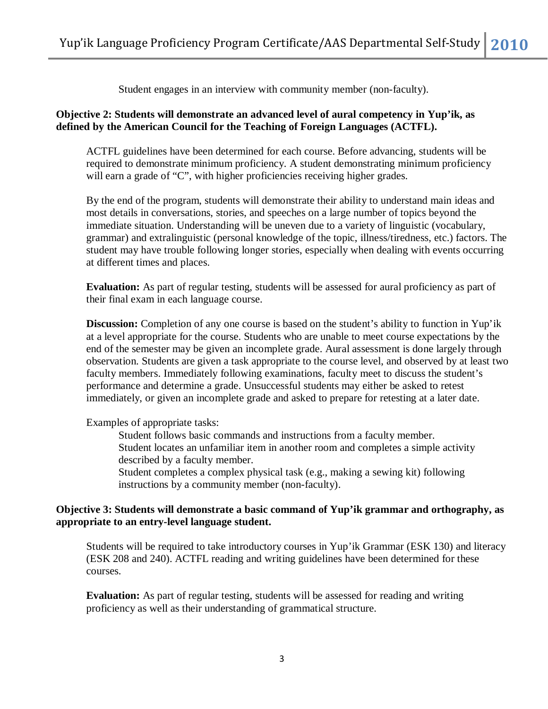Student engages in an interview with community member (non-faculty).

# **Objective 2: Students will demonstrate an advanced level of aural competency in Yup'ik, as defined by the American Council for the Teaching of Foreign Languages (ACTFL).**

ACTFL guidelines have been determined for each course. Before advancing, students will be required to demonstrate minimum proficiency. A student demonstrating minimum proficiency will earn a grade of "C", with higher proficiencies receiving higher grades.

By the end of the program, students will demonstrate their ability to understand main ideas and most details in conversations, stories, and speeches on a large number of topics beyond the immediate situation. Understanding will be uneven due to a variety of linguistic (vocabulary, grammar) and extralinguistic (personal knowledge of the topic, illness/tiredness, etc.) factors. The student may have trouble following longer stories, especially when dealing with events occurring at different times and places.

**Evaluation:** As part of regular testing, students will be assessed for aural proficiency as part of their final exam in each language course.

**Discussion:** Completion of any one course is based on the student's ability to function in Yup'ik at a level appropriate for the course. Students who are unable to meet course expectations by the end of the semester may be given an incomplete grade. Aural assessment is done largely through observation. Students are given a task appropriate to the course level, and observed by at least two faculty members. Immediately following examinations, faculty meet to discuss the student's performance and determine a grade. Unsuccessful students may either be asked to retest immediately, or given an incomplete grade and asked to prepare for retesting at a later date.

Examples of appropriate tasks:

Student follows basic commands and instructions from a faculty member. Student locates an unfamiliar item in another room and completes a simple activity described by a faculty member.

Student completes a complex physical task (e.g., making a sewing kit) following instructions by a community member (non-faculty).

# **Objective 3: Students will demonstrate a basic command of Yup'ik grammar and orthography, as appropriate to an entry-level language student.**

Students will be required to take introductory courses in Yup'ik Grammar (ESK 130) and literacy (ESK 208 and 240). ACTFL reading and writing guidelines have been determined for these courses.

**Evaluation:** As part of regular testing, students will be assessed for reading and writing proficiency as well as their understanding of grammatical structure.